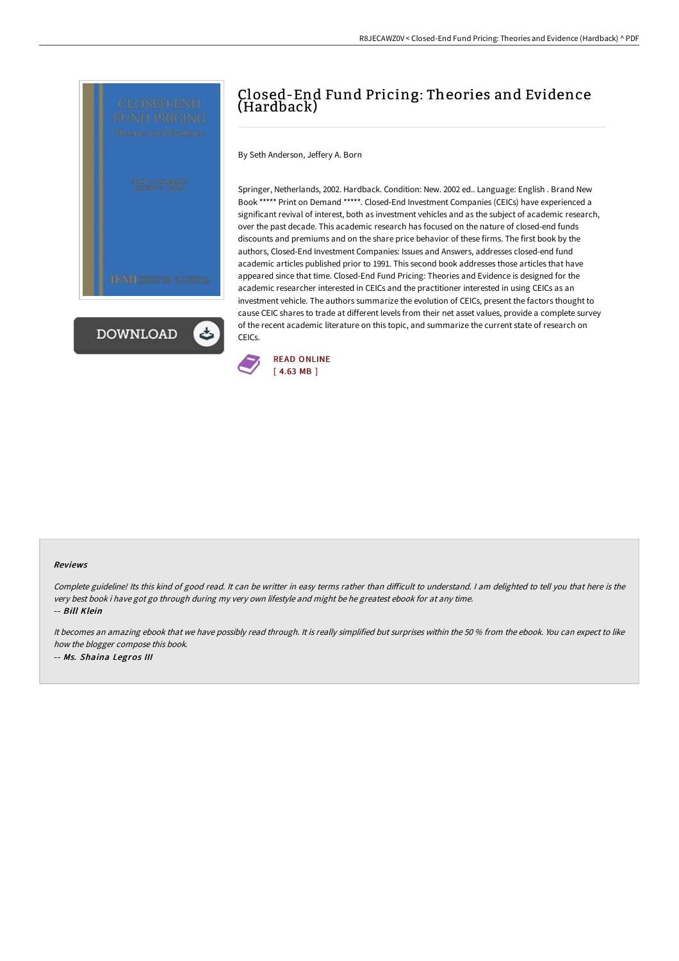



## Closed-End Fund Pricing: Theories and Evidence (Hardback)

By Seth Anderson, Jeffery A. Born

Springer, Netherlands, 2002. Hardback. Condition: New. 2002 ed.. Language: English . Brand New Book \*\*\*\*\* Print on Demand \*\*\*\*\*. Closed-End Investment Companies (CEICs) have experienced a significant revival of interest, both as investment vehicles and as the subject of academic research, over the past decade. This academic research has focused on the nature of closed-end funds discounts and premiums and on the share price behavior of these firms. The first book by the authors, Closed-End Investment Companies: Issues and Answers, addresses closed-end fund academic articles published prior to 1991. This second book addresses those articles that have appeared since that time. Closed-End Fund Pricing: Theories and Evidence is designed for the academic researcher interested in CEICs and the practitioner interested in using CEICs as an investment vehicle. The authors summarize the evolution of CEICs, present the factors thought to cause CEIC shares to trade at different levels from their net asset values, provide a complete survey of the recent academic literature on this topic, and summarize the current state of research on CEICs.



## Reviews

Complete guideline! Its this kind of good read. It can be writter in easy terms rather than difficult to understand. I am delighted to tell you that here is the very best book i have got go through during my very own lifestyle and might be he greatest ebook for at any time. -- Bill Klein

It becomes an amazing ebook that we have possibly read through. It is really simplified but surprises within the <sup>50</sup> % from the ebook. You can expect to like how the blogger compose this book. -- Ms. Shaina Legros III